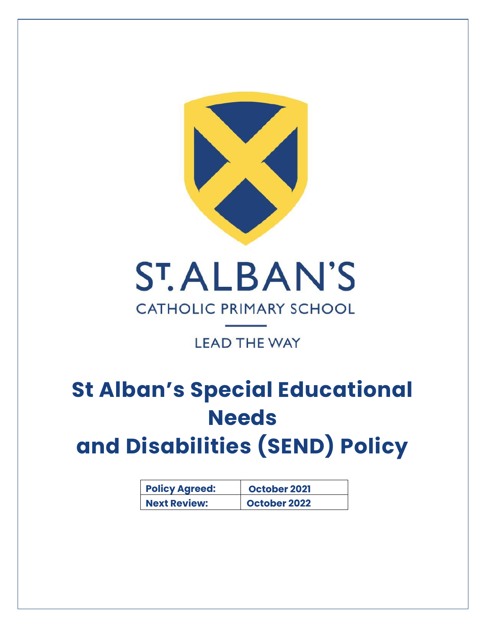

# **ST.ALBAN'S CATHOLIC PRIMARY SCHOOL**

## **LEAD THE WAY**

## **St Alban's Special Educational Needs and Disabilities (SEND) Policy**

| <b>Policy Agreed:</b> | October 2021 |
|-----------------------|--------------|
| <b>Next Review:</b>   | October 2022 |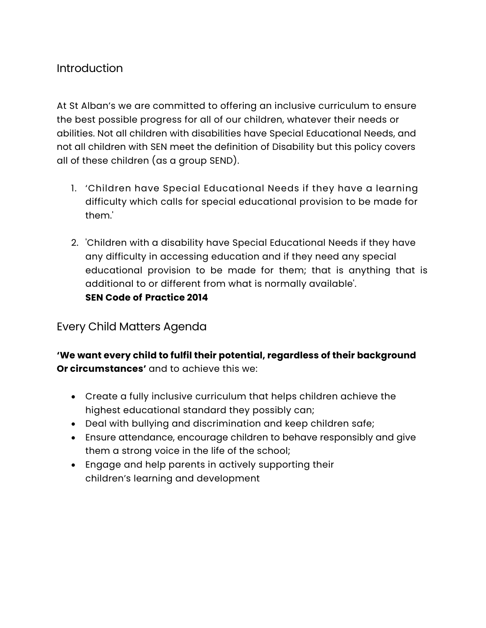## Introduction

At St Alban's we are committed to offering an inclusive curriculum to ensure the best possible progress for all of our children, whatever their needs or abilities. Not all children with disabilities have Special Educational Needs, and not all children with SEN meet the definition of Disability but this policy covers all of these children (as a group SEND).

- 1. 'Children have Special Educational Needs if they have a learning difficulty which calls for special educational provision to be made for them.'
- 2. 'Children with a disability have Special Educational Needs if they have any difficulty in accessing education and if they need any special educational provision to be made for them; that is anything that is additional to or different from what is normally available'. **SEN Code of Practice 2014**

### Every Child Matters Agenda

**'We want every child to fulfil their potential, regardless of their background Or circumstances'** and to achieve this we:

- Create a fully inclusive curriculum that helps children achieve the highest educational standard they possibly can;
- Deal with bullying and discrimination and keep children safe;
- Ensure attendance, encourage children to behave responsibly and give them a strong voice in the life of the school;
- Engage and help parents in actively supporting their children's learning and development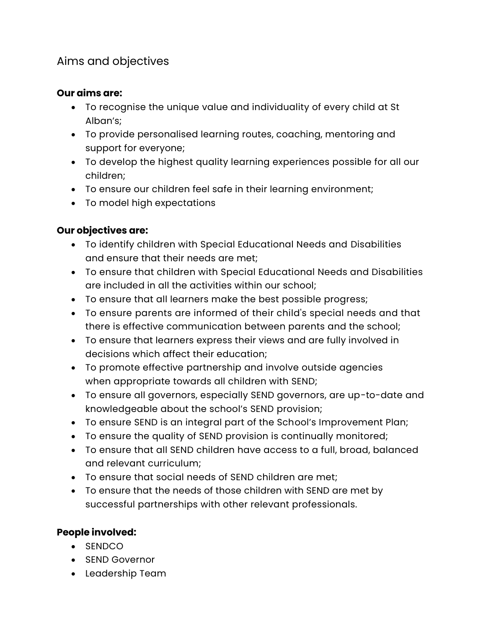## Aims and objectives

#### **Our aims are:**

- To recognise the unique value and individuality of every child at St Alban's;
- To provide personalised learning routes, coaching, mentoring and support for everyone;
- To develop the highest quality learning experiences possible for all our children;
- To ensure our children feel safe in their learning environment;
- To model high expectations

#### **Our objectives are:**

- To identify children with Special Educational Needs and Disabilities and ensure that their needs are met;
- To ensure that children with Special Educational Needs and Disabilities are included in all the activities within our school;
- To ensure that all learners make the best possible progress;
- To ensure parents are informed of their child's special needs and that there is effective communication between parents and the school;
- To ensure that learners express their views and are fully involved in decisions which affect their education;
- To promote effective partnership and involve outside agencies when appropriate towards all children with SEND;
- To ensure all governors, especially SEND governors, are up-to-date and knowledgeable about the school's SEND provision;
- To ensure SEND is an integral part of the School's Improvement Plan;
- To ensure the quality of SEND provision is continually monitored;
- To ensure that all SEND children have access to a full, broad, balanced and relevant curriculum;
- To ensure that social needs of SEND children are met;
- To ensure that the needs of those children with SEND are met by successful partnerships with other relevant professionals.

#### **People involved:**

- SENDCO
- SEND Governor
- Leadership Team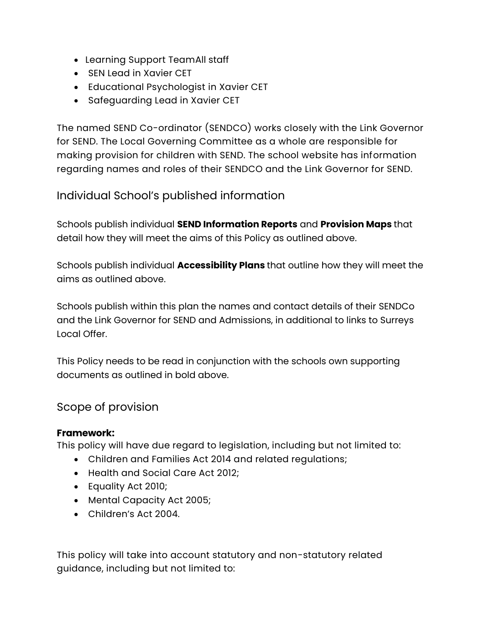- Learning Support TeamAll staff
- SEN Lead in Xavier CET
- Educational Psychologist in Xavier CET
- Safeguarding Lead in Xavier CET

The named SEND Co-ordinator (SENDCO) works closely with the Link Governor for SEND. The Local Governing Committee as a whole are responsible for making provision for children with SEND. The school website has information regarding names and roles of their SENDCO and the Link Governor for SEND.

### Individual School's published information

Schools publish individual **SEND Information Reports** and **Provision Maps** that detail how they will meet the aims of this Policy as outlined above.

Schools publish individual **Accessibility Plans** that outline how they will meet the aims as outlined above.

Schools publish within this plan the names and contact details of their SENDCo and the Link Governor for SEND and Admissions, in additional to links to Surreys Local Offer.

This Policy needs to be read in conjunction with the schools own supporting documents as outlined in bold above.

## Scope of provision

#### **Framework:**

This policy will have due regard to legislation, including but not limited to:

- Children and Families Act 2014 and related regulations;
- Health and Social Care Act 2012;
- Equality Act 2010;
- Mental Capacity Act 2005;
- Children's Act 2004.

This policy will take into account statutory and non-statutory related guidance, including but not limited to: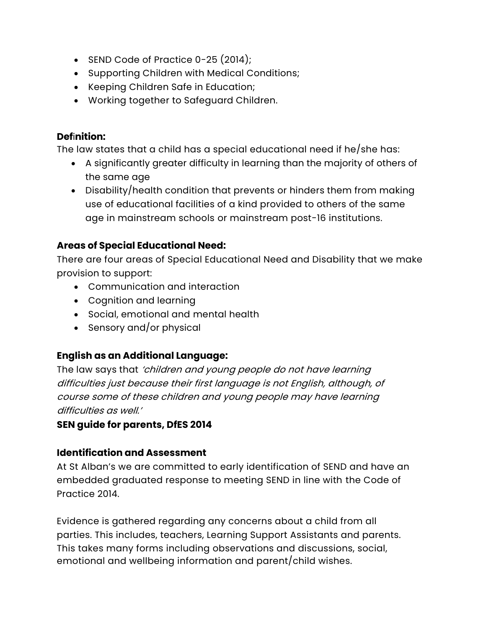- SEND Code of Practice 0-25 (2014);
- Supporting Children with Medical Conditions;
- Keeping Children Safe in Education;
- Working together to Safeguard Children.

#### **Def**i**nition:**

The law states that a child has a special educational need if he/she has:

- A significantly greater difficulty in learning than the majority of others of the same age
- Disability/health condition that prevents or hinders them from making use of educational facilities of a kind provided to others of the same age in mainstream schools or mainstream post-16 institutions.

#### **Areas of Special Educational Need:**

There are four areas of Special Educational Need and Disability that we make provision to support:

- Communication and interaction
- Cognition and learning
- Social, emotional and mental health
- Sensory and/or physical

#### **English as an Additional Language:**

The law says that 'children and young people do not have learning difficulties just because their first language is not English, although, of course some of these children and young people may have learning difficulties as well.'

#### **SEN guide for parents, DfES 2014**

#### **Identification and Assessment**

At St Alban's we are committed to early identification of SEND and have an embedded graduated response to meeting SEND in line with the Code of Practice 2014.

Evidence is gathered regarding any concerns about a child from all parties. This includes, teachers, Learning Support Assistants and parents. This takes many forms including observations and discussions, social, emotional and wellbeing information and parent/child wishes.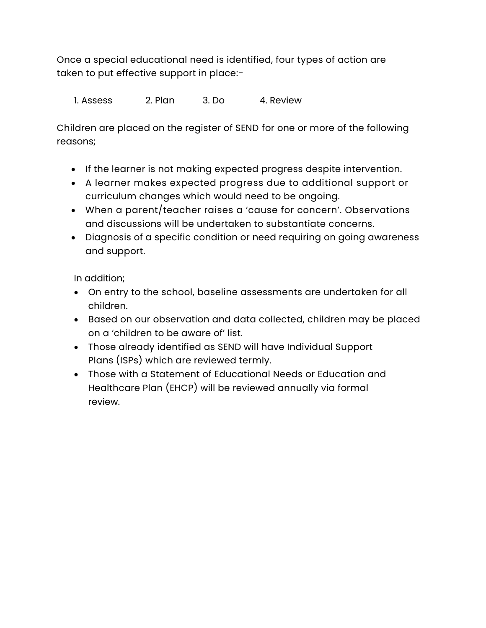Once a special educational need is identified, four types of action are taken to put effective support in place:-

1. Assess 2. Plan 3. Do 4. Review

Children are placed on the register of SEND for one or more of the following reasons;

- If the learner is not making expected progress despite intervention.
- A learner makes expected progress due to additional support or curriculum changes which would need to be ongoing.
- When a parent/teacher raises a 'cause for concern'. Observations and discussions will be undertaken to substantiate concerns.
- Diagnosis of a specific condition or need requiring on going awareness and support.

In addition;

- On entry to the school, baseline assessments are undertaken for all children.
- Based on our observation and data collected, children may be placed on a 'children to be aware of' list.
- Those already identified as SEND will have Individual Support Plans (ISPs) which are reviewed termly.
- Those with a Statement of Educational Needs or Education and Healthcare Plan (EHCP) will be reviewed annually via formal review.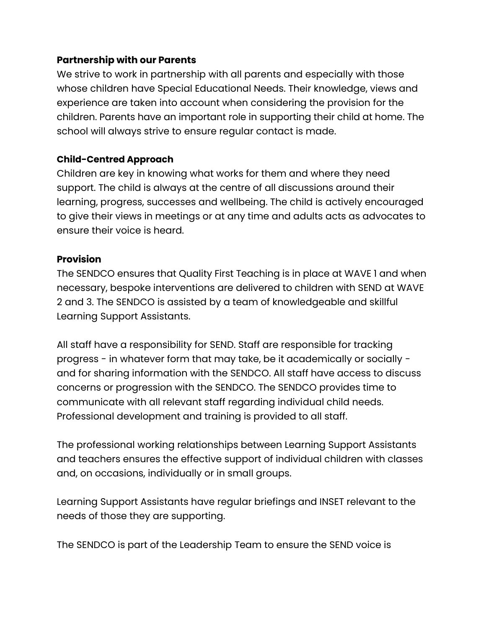#### **Partnership with our Parents**

We strive to work in partnership with all parents and especially with those whose children have Special Educational Needs. Their knowledge, views and experience are taken into account when considering the provision for the children. Parents have an important role in supporting their child at home. The school will always strive to ensure regular contact is made.

#### **Child-Centred Approach**

Children are key in knowing what works for them and where they need support. The child is always at the centre of all discussions around their learning, progress, successes and wellbeing. The child is actively encouraged to give their views in meetings or at any time and adults acts as advocates to ensure their voice is heard.

#### **Provision**

The SENDCO ensures that Quality First Teaching is in place at WAVE 1 and when necessary, bespoke interventions are delivered to children with SEND at WAVE 2 and 3. The SENDCO is assisted by a team of knowledgeable and skillful Learning Support Assistants.

All staff have a responsibility for SEND. Staff are responsible for tracking progress - in whatever form that may take, be it academically or socially and for sharing information with the SENDCO. All staff have access to discuss concerns or progression with the SENDCO. The SENDCO provides time to communicate with all relevant staff regarding individual child needs. Professional development and training is provided to all staff.

The professional working relationships between Learning Support Assistants and teachers ensures the effective support of individual children with classes and, on occasions, individually or in small groups.

Learning Support Assistants have regular briefings and INSET relevant to the needs of those they are supporting.

The SENDCO is part of the Leadership Team to ensure the SEND voice is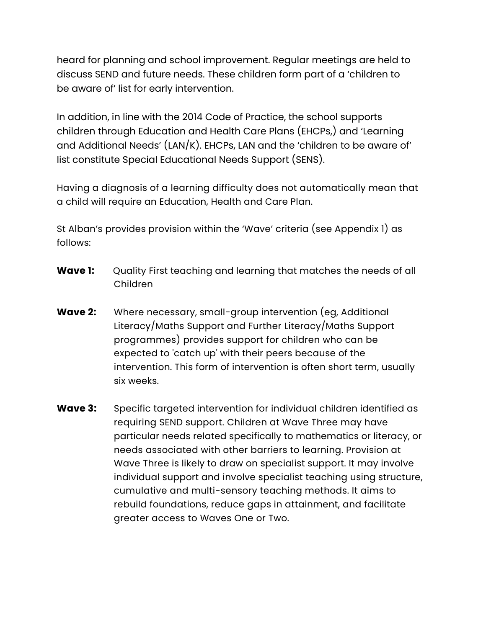heard for planning and school improvement. Regular meetings are held to discuss SEND and future needs. These children form part of a 'children to be aware of' list for early intervention.

In addition, in line with the 2014 Code of Practice, the school supports children through Education and Health Care Plans (EHCPs,) and 'Learning and Additional Needs' (LAN/K). EHCPs, LAN and the 'children to be aware of' list constitute Special Educational Needs Support (SENS).

Having a diagnosis of a learning difficulty does not automatically mean that a child will require an Education, Health and Care Plan.

St Alban's provides provision within the 'Wave' criteria (see Appendix 1) as follows:

- **Wave 1:** Quality First teaching and learning that matches the needs of all Children
- **Wave 2:** Where necessary, small-group intervention (eg, Additional Literacy/Maths Support and Further Literacy/Maths Support programmes) provides support for children who can be expected to 'catch up' with their peers because of the intervention. This form of intervention is often short term, usually six weeks.
- **Wave 3:** Specific targeted intervention for individual children identified as requiring SEND support. Children at Wave Three may have particular needs related specifically to mathematics or literacy, or needs associated with other barriers to learning. Provision at Wave Three is likely to draw on specialist support. It may involve individual support and involve specialist teaching using structure, cumulative and multi-sensory teaching methods. It aims to rebuild foundations, reduce gaps in attainment, and facilitate greater access to Waves One or Two.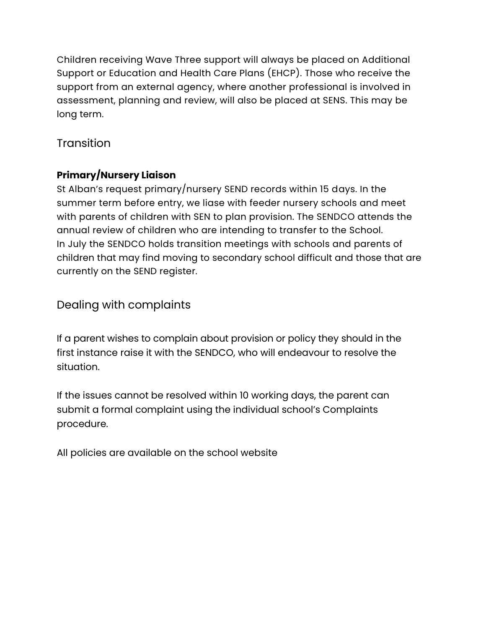Children receiving Wave Three support will always be placed on Additional Support or Education and Health Care Plans (EHCP). Those who receive the support from an external agency, where another professional is involved in assessment, planning and review, will also be placed at SENS. This may be long term.

## **Transition**

## **Primary/Nursery Liaison**

St Alban's request primary/nursery SEND records within 15 days. In the summer term before entry, we liase with feeder nursery schools and meet with parents of children with SEN to plan provision. The SENDCO attends the annual review of children who are intending to transfer to the School. In July the SENDCO holds transition meetings with schools and parents of children that may find moving to secondary school difficult and those that are currently on the SEND register.

## Dealing with complaints

If a parent wishes to complain about provision or policy they should in the first instance raise it with the SENDCO, who will endeavour to resolve the situation.

If the issues cannot be resolved within 10 working days, the parent can submit a formal complaint using the individual school's Complaints procedure.

All policies are available on the school website